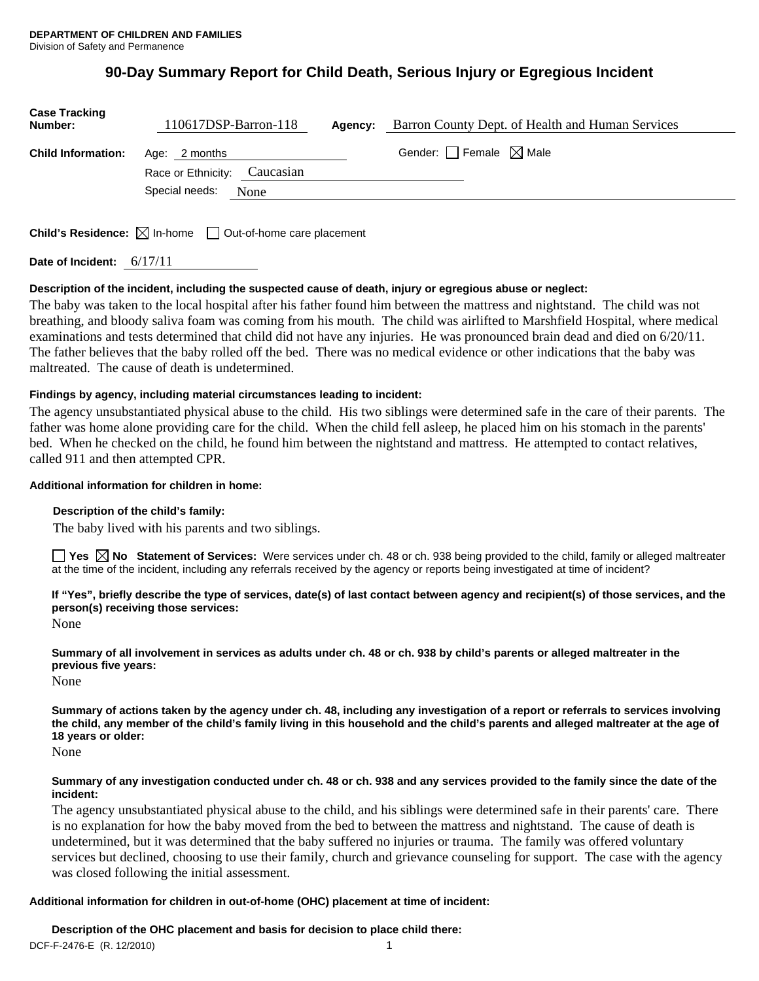# **90-Day Summary Report for Child Death, Serious Injury or Egregious Incident**

| <b>Case Tracking</b><br>Number: | 110617DSP-Barron-118                                                            | Agency: | Barron County Dept. of Health and Human Services |
|---------------------------------|---------------------------------------------------------------------------------|---------|--------------------------------------------------|
| <b>Child Information:</b>       | Age: 2 months                                                                   |         | Gender: Female $\boxtimes$ Male                  |
|                                 | Race or Ethnicity: Caucasian                                                    |         |                                                  |
|                                 | Special needs:<br>None                                                          |         |                                                  |
|                                 |                                                                                 |         |                                                  |
|                                 | <b>Child's Residence:</b> $\boxtimes$ In-home $\Box$ Out-of-home care placement |         |                                                  |

**Date of Incident:** 6/17/11

## **Description of the incident, including the suspected cause of death, injury or egregious abuse or neglect:**

The baby was taken to the local hospital after his father found him between the mattress and nightstand. The child was not breathing, and bloody saliva foam was coming from his mouth. The child was airlifted to Marshfield Hospital, where medical examinations and tests determined that child did not have any injuries. He was pronounced brain dead and died on 6/20/11. The father believes that the baby rolled off the bed. There was no medical evidence or other indications that the baby was maltreated. The cause of death is undetermined.

# **Findings by agency, including material circumstances leading to incident:**

The agency unsubstantiated physical abuse to the child. His two siblings were determined safe in the care of their parents. The father was home alone providing care for the child. When the child fell asleep, he placed him on his stomach in the parents' bed. When he checked on the child, he found him between the nightstand and mattress. He attempted to contact relatives, called 911 and then attempted CPR.

## **Additional information for children in home:**

# **Description of the child's family:**

The baby lived with his parents and two siblings.

**Yes**  $\boxtimes$  **No** Statement of Services: Were services under ch. 48 or ch. 938 being provided to the child, family or alleged maltreater at the time of the incident, including any referrals received by the agency or reports being investigated at time of incident?

**If "Yes", briefly describe the type of services, date(s) of last contact between agency and recipient(s) of those services, and the person(s) receiving those services:** 

None

**Summary of all involvement in services as adults under ch. 48 or ch. 938 by child's parents or alleged maltreater in the previous five years:** 

None

**Summary of actions taken by the agency under ch. 48, including any investigation of a report or referrals to services involving the child, any member of the child's family living in this household and the child's parents and alleged maltreater at the age of 18 years or older:** 

None

#### **Summary of any investigation conducted under ch. 48 or ch. 938 and any services provided to the family since the date of the incident:**

The agency unsubstantiated physical abuse to the child, and his siblings were determined safe in their parents' care. There is no explanation for how the baby moved from the bed to between the mattress and nightstand. The cause of death is undetermined, but it was determined that the baby suffered no injuries or trauma. The family was offered voluntary services but declined, choosing to use their family, church and grievance counseling for support. The case with the agency was closed following the initial assessment.

# **Additional information for children in out-of-home (OHC) placement at time of incident:**

**Description of the OHC placement and basis for decision to place child there:**